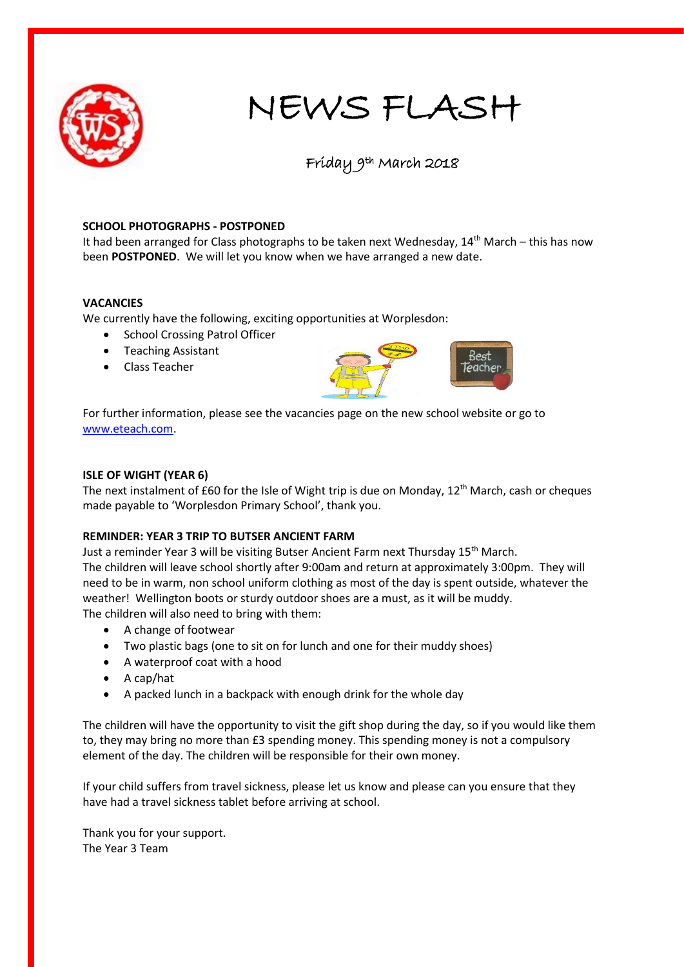

# NEWS FLASH

# Friday 9th March 2018

### **SCHOOL PHOTOGRAPHS - POSTPONED**

It had been arranged for Class photographs to be taken next Wednesday, 14<sup>th</sup> March – this has now been **POSTPONED**. We will let you know when we have arranged a new date.

### **VACANCIES**

We currently have the following, exciting opportunities at Worplesdon:

- School Crossing Patrol Officer
- Teaching Assistant
- Class Teacher



For further information, please see the vacancies page on the new school website or go to [www.eteach.com.](http://www.eteach.com/)

#### **ISLE OF WIGHT (YEAR 6)**

The next instalment of £60 for the Isle of Wight trip is due on Monday, 12<sup>th</sup> March, cash or cheques made payable to 'Worplesdon Primary School', thank you.

## **REMINDER: YEAR 3 TRIP TO BUTSER ANCIENT FARM**

Just a reminder Year 3 will be visiting Butser Ancient Farm next Thursday 15<sup>th</sup> March. The children will leave school shortly after 9:00am and return at approximately 3:00pm. They will need to be in warm, non school uniform clothing as most of the day is spent outside, whatever the weather! Wellington boots or sturdy outdoor shoes are a must, as it will be muddy. The children will also need to bring with them:

- A change of footwear
- Two plastic bags (one to sit on for lunch and one for their muddy shoes)
- A waterproof coat with a hood
- A cap/hat
- A packed lunch in a backpack with enough drink for the whole day

The children will have the opportunity to visit the gift shop during the day, so if you would like them to, they may bring no more than £3 spending money. This spending money is not a compulsory element of the day. The children will be responsible for their own money.

If your child suffers from travel sickness, please let us know and please can you ensure that they have had a travel sickness tablet before arriving at school.

Thank you for your support. The Year 3 Team